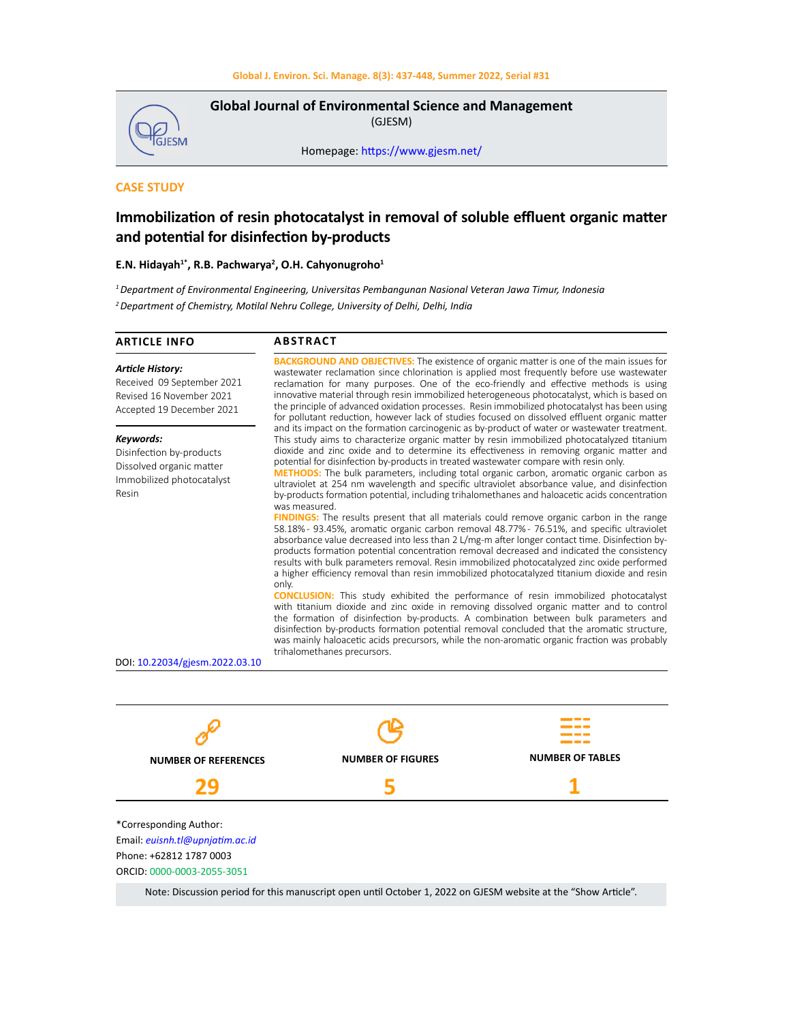

**Global Journal of Environmental Science and Management**  (GJESM)

Homepage: [https://www.gjesm.net/](https://www.gjesm.net/ )

# **CASE STUDY**

# **Immobilization of resin photocatalyst in removal of soluble effluent organic matter and potential for disinfection by-products**

### **E.N. Hidayah1\*, R.B. Pachwarya<sup>2</sup> , O.H. Cahyonugroho<sup>1</sup>**

*<sup>1</sup>Department of Environmental Engineering, Universitas Pembangunan Nasional Veteran Jawa Timur, Indonesia <sup>2</sup>Department of Chemistry, Motilal Nehru College, University of Delhi, Delhi, India*

| <b>Article History:</b><br>Received 09 September 2021<br>Revised 16 November 2021<br>Accepted 19 December 2021 | <b>BACKGROUND AND OBJECTIVES:</b> The existence of organic matter is one of the main issues for<br>wastewater reclamation since chlorination is applied most frequently before use wastewater<br>reclamation for many purposes. One of the eco-friendly and effective methods is using<br>innovative material through resin immobilized heterogeneous photocatalyst, which is based on<br>the principle of advanced oxidation processes. Resin immobilized photocatalyst has been using<br>for pollutant reduction, however lack of studies focused on dissolved effluent organic matter                                                                                                                                                                                                                                                                                                                                                                                                                                                                                                                                                                                                                                                                                                                                                                                                                                                                                                                                                                                                                                                                                                                                                                                                                                        |  |  |  |  |  |  |
|----------------------------------------------------------------------------------------------------------------|---------------------------------------------------------------------------------------------------------------------------------------------------------------------------------------------------------------------------------------------------------------------------------------------------------------------------------------------------------------------------------------------------------------------------------------------------------------------------------------------------------------------------------------------------------------------------------------------------------------------------------------------------------------------------------------------------------------------------------------------------------------------------------------------------------------------------------------------------------------------------------------------------------------------------------------------------------------------------------------------------------------------------------------------------------------------------------------------------------------------------------------------------------------------------------------------------------------------------------------------------------------------------------------------------------------------------------------------------------------------------------------------------------------------------------------------------------------------------------------------------------------------------------------------------------------------------------------------------------------------------------------------------------------------------------------------------------------------------------------------------------------------------------------------------------------------------------|--|--|--|--|--|--|
| Keywords:<br>Disinfection by-products<br>Dissolved organic matter<br>Immobilized photocatalyst<br>Resin        | and its impact on the formation carcinogenic as by-product of water or wastewater treatment.<br>This study aims to characterize organic matter by resin immobilized photocatalyzed titanium<br>dioxide and zinc oxide and to determine its effectiveness in removing organic matter and<br>potential for disinfection by-products in treated wastewater compare with resin only.<br><b>METHODS:</b> The bulk parameters, including total organic carbon, aromatic organic carbon as<br>ultraviolet at 254 nm wavelength and specific ultraviolet absorbance value, and disinfection<br>by-products formation potential, including trihalomethanes and haloacetic acids concentration<br>was measured.<br><b>FINDINGS:</b> The results present that all materials could remove organic carbon in the range<br>58.18% - 93.45%, aromatic organic carbon removal 48.77% - 76.51%, and specific ultraviolet<br>absorbance value decreased into less than 2 L/mg-m after longer contact time. Disinfection by-<br>products formation potential concentration removal decreased and indicated the consistency<br>results with bulk parameters removal. Resin immobilized photocatalyzed zinc oxide performed<br>a higher efficiency removal than resin immobilized photocatalyzed titanium dioxide and resin<br>only.<br><b>CONCLUSION:</b> This study exhibited the performance of resin immobilized photocatalyst<br>with titanium dioxide and zinc oxide in removing dissolved organic matter and to control<br>the formation of disinfection by-products. A combination between bulk parameters and<br>disinfection by-products formation potential removal concluded that the aromatic structure,<br>was mainly haloacetic acids precursors, while the non-aromatic organic fraction was probably<br>trihalomethanes precursors. |  |  |  |  |  |  |
| DOI: 10.22034/gjesm.2022.03.10                                                                                 |                                                                                                                                                                                                                                                                                                                                                                                                                                                                                                                                                                                                                                                                                                                                                                                                                                                                                                                                                                                                                                                                                                                                                                                                                                                                                                                                                                                                                                                                                                                                                                                                                                                                                                                                                                                                                                 |  |  |  |  |  |  |



Note: Discussion period for this manuscript open until October 1, 2022 on GJESM website at the "Show Article".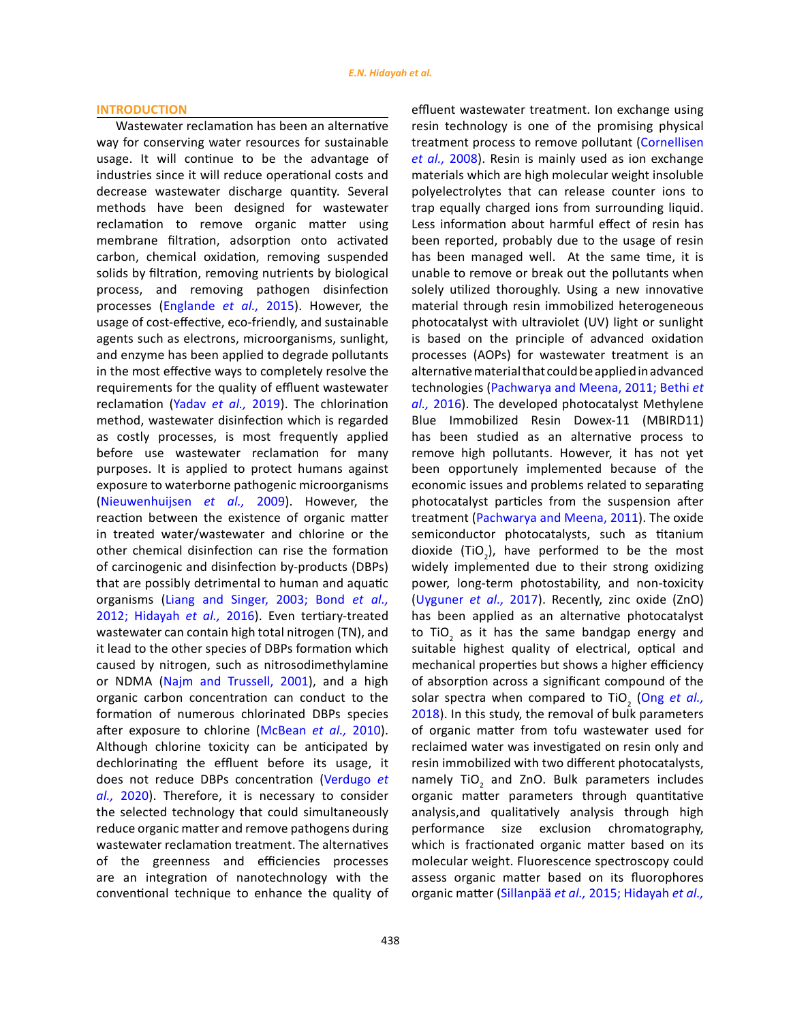#### **INTRODUCTION**

Wastewater reclamation has been an alternative way for conserving water resources for sustainable usage. It will continue to be the advantage of industries since it will reduce operational costs and decrease wastewater discharge quantity. Several methods have been designed for wastewater reclamation to remove organic matter using membrane filtration, adsorption onto activated carbon, chemical oxidation, removing suspended solids by filtration, removing nutrients by biological process, and removing pathogen disinfection processes (Englande *et al.,* 2015). However, the usage of cost-effective, eco-friendly, and sustainable agents such as electrons, microorganisms, sunlight, and enzyme has been applied to degrade pollutants in the most effective ways to completely resolve the requirements for the quality of effluent wastewater reclamation (Yadav *et al.,* 2019). The chlorination method, wastewater disinfection which is regarded as costly processes, is most frequently applied before use wastewater reclamation for many purposes. It is applied to protect humans against exposure to waterborne pathogenic microorganisms (Nieuwenhuijsen *et al.,* 2009). However, the reaction between the existence of organic matter in treated water/wastewater and chlorine or the other chemical disinfection can rise the formation of carcinogenic and disinfection by-products (DBPs) that are possibly detrimental to human and aquatic organisms (Liang and Singer, 2003; Bond *et al.,* 2012; Hidayah *et al.,* 2016). Even tertiary-treated wastewater can contain high total nitrogen (TN), and it lead to the other species of DBPs formation which caused by nitrogen, such as nitrosodimethylamine or NDMA (Najm and Trussell, 2001), and a high organic carbon concentration can conduct to the formation of numerous chlorinated DBPs species after exposure to chlorine (McBean *et al.,* 2010). Although chlorine toxicity can be anticipated by dechlorinating the effluent before its usage, it does not reduce DBPs concentration (Verdugo *et al.,* 2020). Therefore, it is necessary to consider the selected technology that could simultaneously reduce organic matter and remove pathogens during wastewater reclamation treatment. The alternatives of the greenness and efficiencies processes are an integration of nanotechnology with the conventional technique to enhance the quality of effluent wastewater treatment. Ion exchange using resin technology is one of the promising physical treatment process to remove pollutant (Cornellisen *et al.,* 2008). Resin is mainly used as ion exchange materials which are high molecular weight insoluble polyelectrolytes that can release counter ions to trap equally charged ions from surrounding liquid. Less information about harmful effect of resin has been reported, probably due to the usage of resin has been managed well. At the same time, it is unable to remove or break out the pollutants when solely utilized thoroughly. Using a new innovative material through resin immobilized heterogeneous photocatalyst with ultraviolet (UV) light or sunlight is based on the principle of advanced oxidation processes (AOPs) for wastewater treatment is an alternative material that could be applied in advanced technologies (Pachwarya and Meena, 2011; Bethi *et al.,* 2016). The developed photocatalyst Methylene Blue Immobilized Resin Dowex-11 (MBIRD11) has been studied as an alternative process to remove high pollutants. However, it has not yet been opportunely implemented because of the economic issues and problems related to separating photocatalyst particles from the suspension after treatment (Pachwarya and Meena, 2011). The oxide semiconductor photocatalysts, such as titanium dioxide (TiO<sub>2</sub>), have performed to be the most widely implemented due to their strong oxidizing power, long-term photostability, and non-toxicity (Uyguner *et al.,* 2017). Recently, zinc oxide (ZnO) has been applied as an alternative photocatalyst to TiO<sub>2</sub> as it has the same bandgap energy and suitable highest quality of electrical, optical and mechanical properties but shows a higher efficiency of absorption across a significant compound of the solar spectra when compared to TiO<sub>2</sub> (Ong et al., 2018). In this study, the removal of bulk parameters of organic matter from tofu wastewater used for reclaimed water was investigated on resin only and resin immobilized with two different photocatalysts, namely  $TiO<sub>2</sub>$  and ZnO. Bulk parameters includes organic matter parameters through quantitative analysis,and qualitatively analysis through high performance size exclusion chromatography, which is fractionated organic matter based on its molecular weight. Fluorescence spectroscopy could assess organic matter based on its fluorophores organic matter (Sillanpää *et al.,* 2015; Hidayah *et al.,*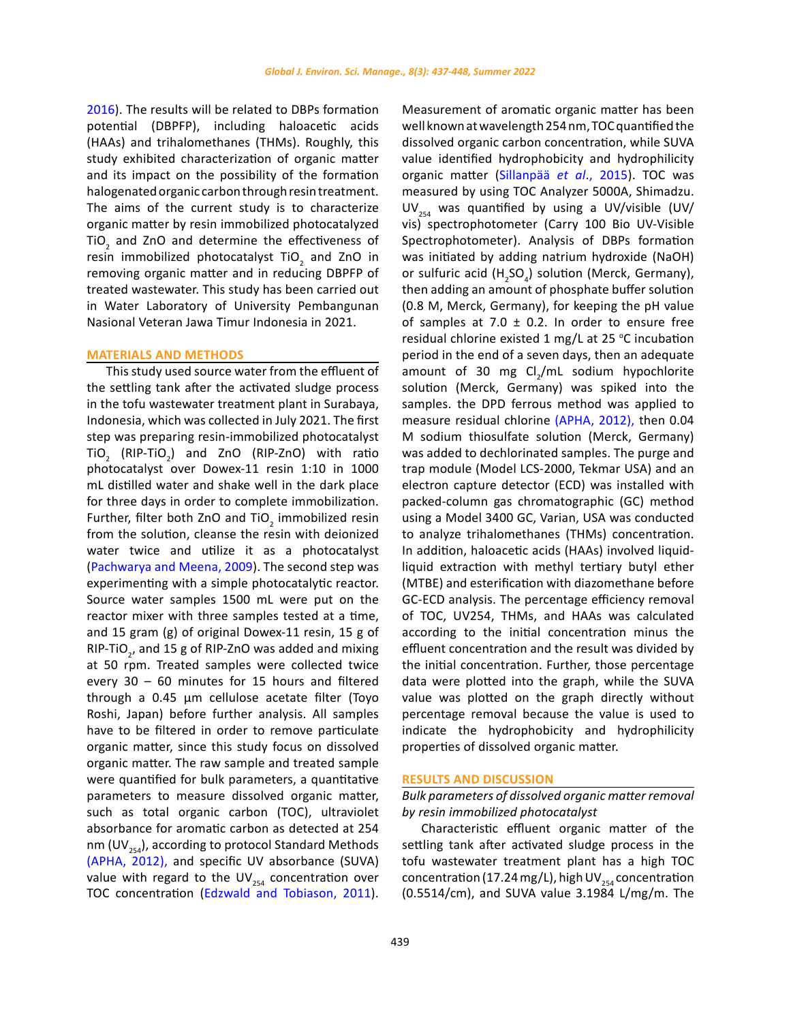2016). The results will be related to DBPs formation potential (DBPFP), including haloacetic acids (HAAs) and trihalomethanes (THMs). Roughly, this study exhibited characterization of organic matter and its impact on the possibility of the formation halogenated organic carbon through resin treatment. The aims of the current study is to characterize organic matter by resin immobilized photocatalyzed TiO<sub>2</sub> and ZnO and determine the effectiveness of resin immobilized photocatalyst  $\text{TiO}_2$  and ZnO in removing organic matter and in reducing DBPFP of treated wastewater. This study has been carried out in Water Laboratory of University Pembangunan Nasional Veteran Jawa Timur Indonesia in 2021.

### **MATERIALS AND METHODS**

This study used source water from the effluent of the settling tank after the activated sludge process in the tofu wastewater treatment plant in Surabaya, Indonesia, which was collected in July 2021. The first step was preparing resin-immobilized photocatalyst  $\overline{C}_2$  (RIP-TiO<sub>2</sub>) and ZnO (RIP-ZnO) with ratio photocatalyst over Dowex-11 resin 1:10 in 1000 mL distilled water and shake well in the dark place for three days in order to complete immobilization. Further, filter both ZnO and TiO<sub>2</sub> immobilized resin from the solution, cleanse the resin with deionized water twice and utilize it as a photocatalyst (Pachwarya and Meena, 2009). The second step was experimenting with a simple photocatalytic reactor. Source water samples 1500 mL were put on the reactor mixer with three samples tested at a time, and 15 gram (g) of original Dowex-11 resin, 15 g of RIP-TiO<sub>2</sub>, and 15 g of RIP-ZnO was added and mixing at 50 rpm. Treated samples were collected twice every 30 – 60 minutes for 15 hours and filtered through a 0.45 µm cellulose acetate filter (Toyo Roshi, Japan) before further analysis. All samples have to be filtered in order to remove particulate organic matter, since this study focus on dissolved organic matter. The raw sample and treated sample were quantified for bulk parameters, a quantitative parameters to measure dissolved organic matter, such as total organic carbon (TOC), ultraviolet absorbance for aromatic carbon as detected at 254 nm (UV $_{254}$ ), according to protocol Standard Methods (APHA, 2012), and specific UV absorbance (SUVA) value with regard to the UV $_{254}$  concentration over TOC concentration (Edzwald and Tobiason, 2011).

Measurement of aromatic organic matter has been well known at wavelength 254 nm, TOC quantified the dissolved organic carbon concentration, while SUVA value identified hydrophobicity and hydrophilicity organic matter (Sillanpää *et al*., 2015). TOC was measured by using TOC Analyzer 5000A, Shimadzu. UV<sub>254</sub> was quantified by using a UV/visible (UV/ vis) spectrophotometer (Carry 100 Bio UV-Visible Spectrophotometer). Analysis of DBPs formation was initiated by adding natrium hydroxide (NaOH) or sulfuric acid  $(H_2SO_4)$  solution (Merck, Germany), then adding an amount of phosphate buffer solution (0.8 M, Merck, Germany), for keeping the pH value of samples at 7.0  $\pm$  0.2. In order to ensure free residual chlorine existed 1 mg/L at 25  $\degree$ C incubation period in the end of a seven days, then an adequate amount of 30 mg  $Cl<sub>2</sub>/mL$  sodium hypochlorite solution (Merck, Germany) was spiked into the samples. the DPD ferrous method was applied to measure residual chlorine (APHA, 2012), then 0.04 M sodium thiosulfate solution (Merck, Germany) was added to dechlorinated samples. The purge and trap module (Model LCS-2000, Tekmar USA) and an electron capture detector (ECD) was installed with packed-column gas chromatographic (GC) method using a Model 3400 GC, Varian, USA was conducted to analyze trihalomethanes (THMs) concentration. In addition, haloacetic acids (HAAs) involved liquidliquid extraction with methyl tertiary butyl ether (MTBE) and esterification with diazomethane before GC-ECD analysis. The percentage efficiency removal of TOC, UV254, THMs, and HAAs was calculated according to the initial concentration minus the effluent concentration and the result was divided by the initial concentration. Further, those percentage data were plotted into the graph, while the SUVA value was plotted on the graph directly without percentage removal because the value is used to indicate the hydrophobicity and hydrophilicity properties of dissolved organic matter.

#### **RESULTS AND DISCUSSION**

# *Bulk parameters of dissolved organic matter removal by resin immobilized photocatalyst*

Characteristic effluent organic matter of the settling tank after activated sludge process in the tofu wastewater treatment plant has a high TOC concentration (17.24 mg/L), high UV<sub>254</sub> concentration (0.5514/cm), and SUVA value 3.1984 L/mg/m. The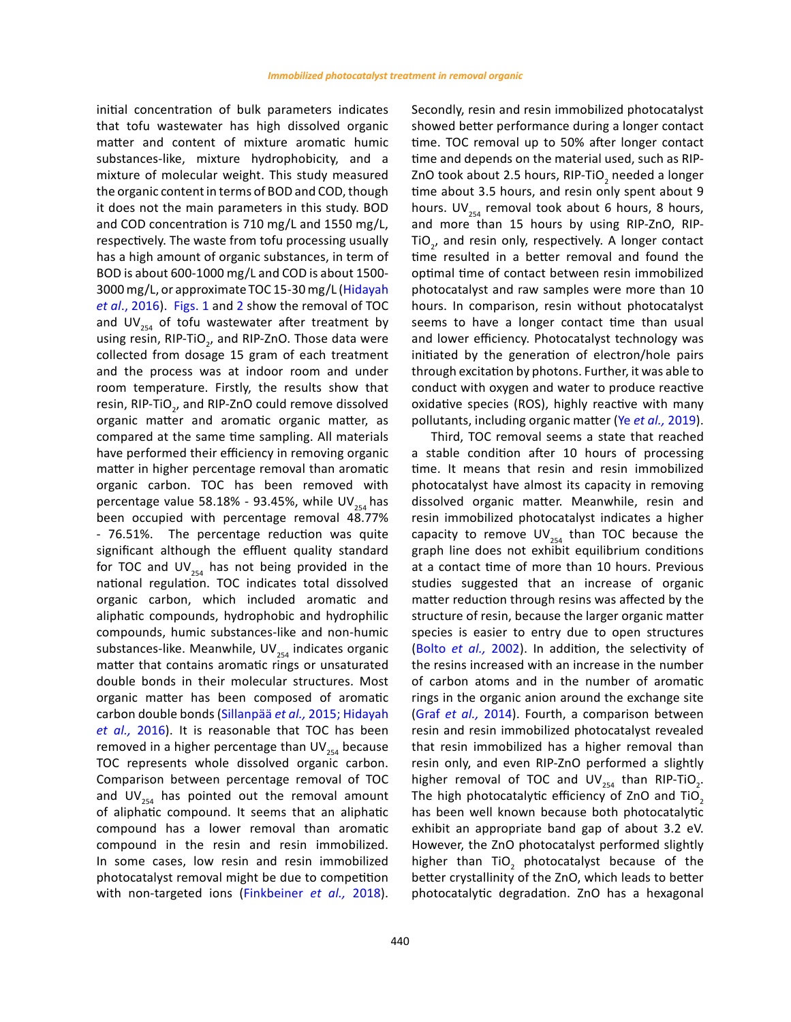initial concentration of bulk parameters indicates that tofu wastewater has high dissolved organic matter and content of mixture aromatic humic substances-like, mixture hydrophobicity, and a mixture of molecular weight. This study measured the organic content in terms of BOD and COD, though it does not the main parameters in this study. BOD and COD concentration is 710 mg/L and 1550 mg/L, respectively. The waste from tofu processing usually has a high amount of organic substances, in term of BOD is about 600-1000 mg/L and COD is about 1500- 3000 mg/L, or approximate TOC 15-30 mg/L (Hidayah *et al*., 2016). Figs. 1 and 2 show the removal of TOC and UV $_{254}$  of tofu wastewater after treatment by using resin, RIP-TiO<sub>2</sub>, and RIP-ZnO. Those data were collected from dosage 15 gram of each treatment and the process was at indoor room and under room temperature. Firstly, the results show that resin, RIP-TiO<sub>2</sub>, and RIP-ZnO could remove dissolved organic matter and aromatic organic matter, as compared at the same time sampling. All materials have performed their efficiency in removing organic matter in higher percentage removal than aromatic organic carbon. TOC has been removed with percentage value 58.18% - 93.45%, while  $UV_{354}$  has been occupied with percentage removal 48.77% - 76.51%. The percentage reduction was quite significant although the effluent quality standard for TOC and  $UV_{254}$  has not being provided in the national regulation. TOC indicates total dissolved organic carbon, which included aromatic and aliphatic compounds, hydrophobic and hydrophilic compounds, humic substances-like and non-humic substances-like. Meanwhile, UV $_{254}$  indicates organic matter that contains aromatic rings or unsaturated double bonds in their molecular structures. Most organic matter has been composed of aromatic carbon double bonds (Sillanpää *et al.,* 2015; Hidayah *et al.,* 2016). It is reasonable that TOC has been removed in a higher percentage than  $UV_{254}$  because TOC represents whole dissolved organic carbon. Comparison between percentage removal of TOC and UV $_{254}$  has pointed out the removal amount of aliphatic compound. It seems that an aliphatic compound has a lower removal than aromatic compound in the resin and resin immobilized. In some cases, low resin and resin immobilized photocatalyst removal might be due to competition with non-targeted ions (Finkbeiner *et al.,* 2018).

Secondly, resin and resin immobilized photocatalyst showed better performance during a longer contact time. TOC removal up to 50% after longer contact time and depends on the material used, such as RIP-ZnO took about 2.5 hours, RIP-TiO<sub>2</sub> needed a longer time about 3.5 hours, and resin only spent about 9 hours. UV $_{254}$  removal took about 6 hours, 8 hours, and more than 15 hours by using RIP-ZnO, RIP-TiO<sub>2</sub>, and resin only, respectively. A longer contact time resulted in a better removal and found the optimal time of contact between resin immobilized photocatalyst and raw samples were more than 10 hours. In comparison, resin without photocatalyst seems to have a longer contact time than usual and lower efficiency. Photocatalyst technology was initiated by the generation of electron/hole pairs through excitation by photons. Further, it was able to conduct with oxygen and water to produce reactive oxidative species (ROS), highly reactive with many pollutants, including organic matter (Ye *et al.,* 2019).

Third, TOC removal seems a state that reached a stable condition after 10 hours of processing time. It means that resin and resin immobilized photocatalyst have almost its capacity in removing dissolved organic matter. Meanwhile, resin and resin immobilized photocatalyst indicates a higher capacity to remove  $UV_{254}$  than TOC because the graph line does not exhibit equilibrium conditions at a contact time of more than 10 hours. Previous studies suggested that an increase of organic matter reduction through resins was affected by the structure of resin, because the larger organic matter species is easier to entry due to open structures (Bolto *et al.,* 2002). In addition, the selectivity of the resins increased with an increase in the number of carbon atoms and in the number of aromatic rings in the organic anion around the exchange site (Graf *et al.,* 2014). Fourth, a comparison between resin and resin immobilized photocatalyst revealed that resin immobilized has a higher removal than resin only, and even RIP-ZnO performed a slightly higher removal of TOC and  $UV_{254}$  than RIP-TiO<sub>2</sub>. The high photocatalytic efficiency of ZnO and TiO. has been well known because both photocatalytic exhibit an appropriate band gap of about 3.2 eV. However, the ZnO photocatalyst performed slightly higher than  $\text{TiO}_2$  photocatalyst because of the better crystallinity of the ZnO, which leads to better photocatalytic degradation. ZnO has a hexagonal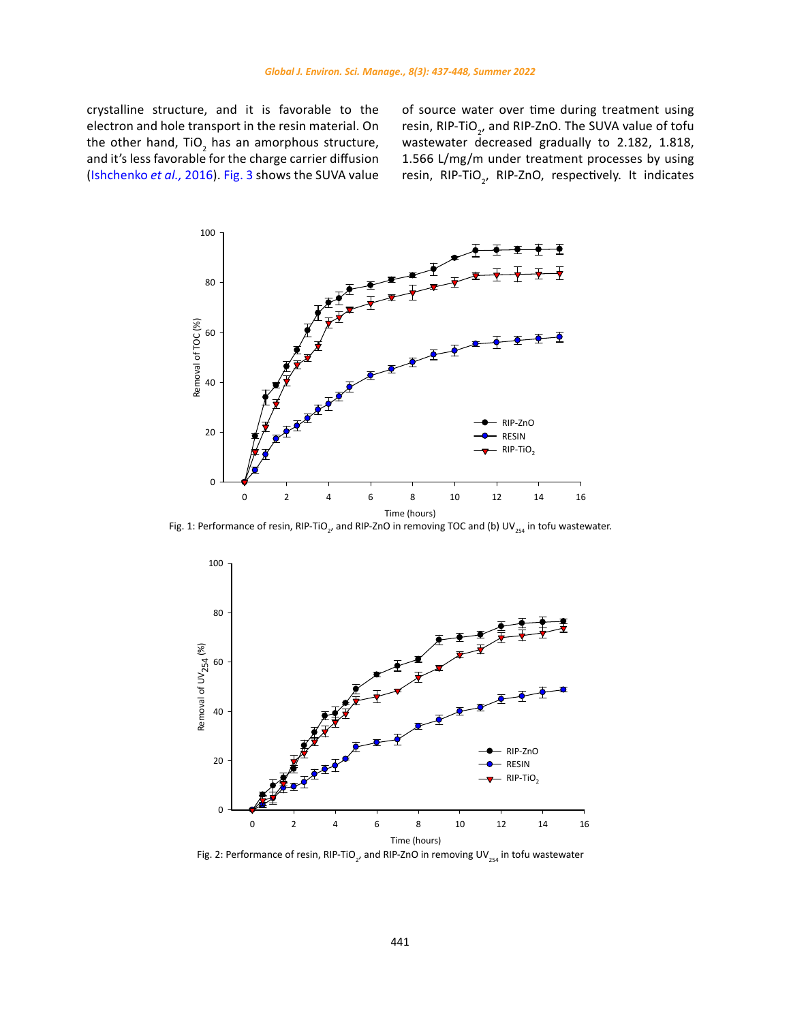crystalline structure, and it is favorable to the electron and hole transport in the resin material. On the other hand,  $TiO<sub>2</sub>$  has an amorphous structure, and it's less favorable for the charge carrier diffusion (Ishchenko *et al.,* 2016). Fig. 3 shows the SUVA value

of source water over time during treatment using resin, RIP-TiO<sub>2</sub>, and RIP-ZnO. The SUVA value of tofu wastewater decreased gradually to 2.182, 1.818, 1.566 L/mg/m under treatment processes by using resin, RIP-TiO<sub>2</sub>, RIP-ZnO, respectively. It indicates



Fig. 1: Performance of resin, RIP-TiO<sub>2</sub>, and RIP-ZnO in removing TOC and (b) UV<sub>254</sub> in tofu wastewater.



Fig. 2: Performance of resin, RIP-TiO<sub>2</sub>, and RIP-ZnO in removing UV<sub>254</sub> in tofu wastewater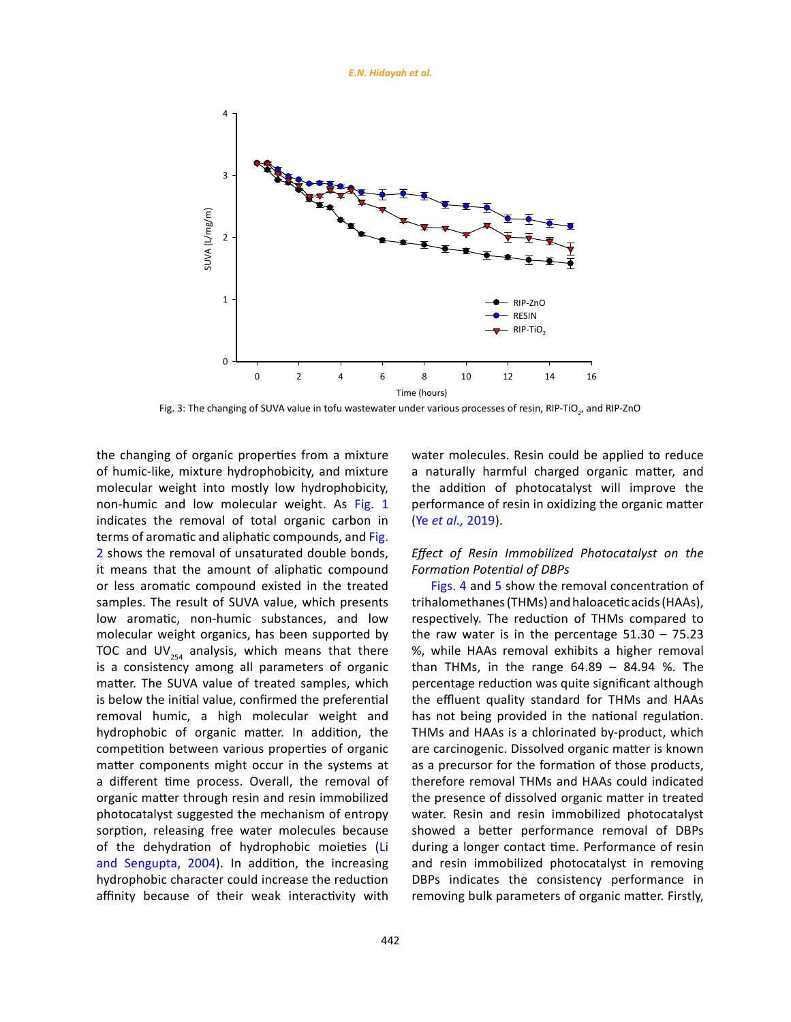

Fig. 3: The changing of SUVA value in tofu wastewater under various processes of resin, RIP-TiO<sub><sub>2</sub>, and RIP-ZnO</sub>

the changing of organic properties from a mixture of humic-like, mixture hydrophobicity, and mixture molecular weight into mostly low hydrophobicity, non-humic and low molecular weight. As Fig. 1 indicates the removal of total organic carbon in terms of aromatic and aliphatic compounds, and Fig. 2 shows the removal of unsaturated double bonds, it means that the amount of aliphatic compound or less aromatic compound existed in the treated samples. The result of SUVA value, which presents low aromatic, non-humic substances, and low molecular weight organics, has been supported by TOC and UV $_{254}$  analysis, which means that there is a consistency among all parameters of organic matter. The SUVA value of treated samples, which is below the initial value, confirmed the preferential removal humic, a high molecular weight and hydrophobic of organic matter. In addition, the competition between various properties of organic matter components might occur in the systems at a different time process. Overall, the removal of organic matter through resin and resin immobilized photocatalyst suggested the mechanism of entropy sorption, releasing free water molecules because of the dehydration of hydrophobic moieties (Li and Sengupta, 2004). In addition, the increasing hydrophobic character could increase the reduction affinity because of their weak interactivity with

water molecules. Resin could be applied to reduce a naturally harmful charged organic matter, and the addition of photocatalyst will improve the performance of resin in oxidizing the organic matter (Ye *et al.,* 2019).

# *Effect of Resin Immobilized Photocatalyst on the Formation Potential of DBPs*

Figs. 4 and 5 show the removal concentration of trihalomethanes (THMs) and haloacetic acids (HAAs), respectively. The reduction of THMs compared to the raw water is in the percentage  $51.30 - 75.23$ %, while HAAs removal exhibits a higher removal than THMs, in the range 64.89 – 84.94 %. The percentage reduction was quite significant although the effluent quality standard for THMs and HAAs has not being provided in the national regulation. THMs and HAAs is a chlorinated by-product, which are carcinogenic. Dissolved organic matter is known as a precursor for the formation of those products, therefore removal THMs and HAAs could indicated the presence of dissolved organic matter in treated water. Resin and resin immobilized photocatalyst showed a better performance removal of DBPs during a longer contact time. Performance of resin and resin immobilized photocatalyst in removing DBPs indicates the consistency performance in removing bulk parameters of organic matter. Firstly,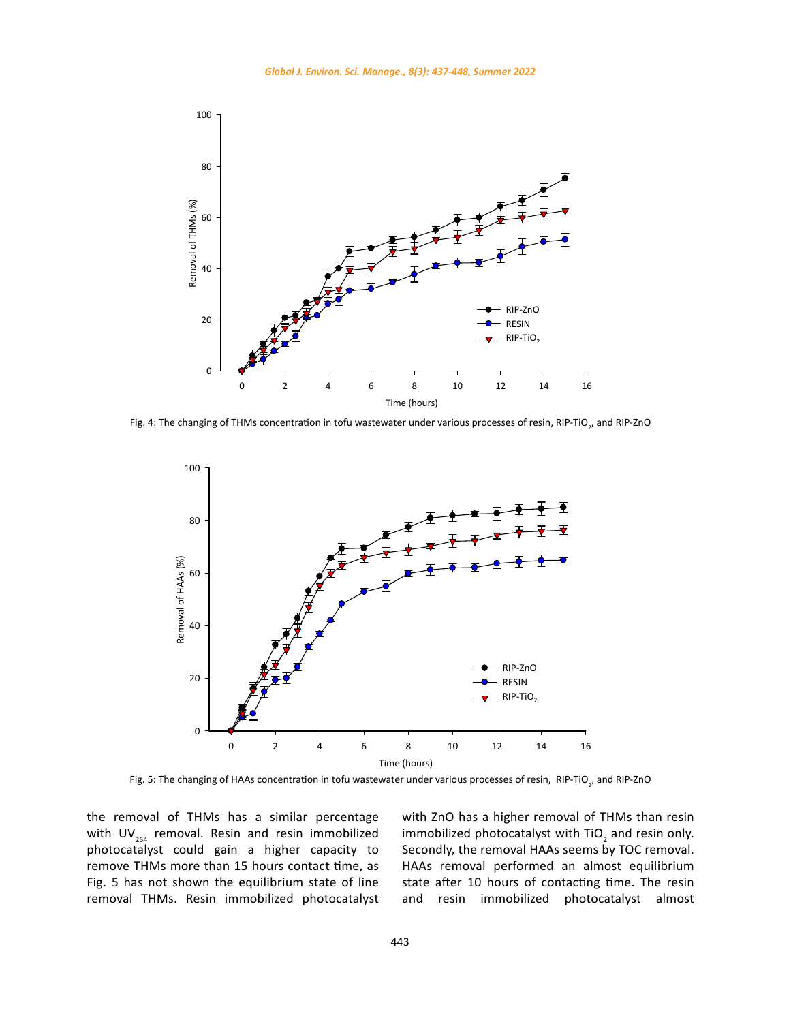

Fig. 4: The changing of THMs concentration in tofu wastewater under various processes of resin, RIP-TiO<sub>2</sub>, and RIP-ZnO



Fig. 5: The changing of HAAs concentration in tofu wastewater under various processes of resin, RIP-TiO<sub>2</sub>, and RIP-ZnO

the removal of THMs has a similar percentage with UV $_{254}$  removal. Resin and resin immobilized photocatalyst could gain a higher capacity to remove THMs more than 15 hours contact time, as Fig. 5 has not shown the equilibrium state of line removal THMs. Resin immobilized photocatalyst with ZnO has a higher removal of THMs than resin immobilized photocatalyst with TiO<sub>2</sub> and resin only. Secondly, the removal HAAs seems by TOC removal. HAAs removal performed an almost equilibrium state after 10 hours of contacting time. The resin and resin immobilized photocatalyst almost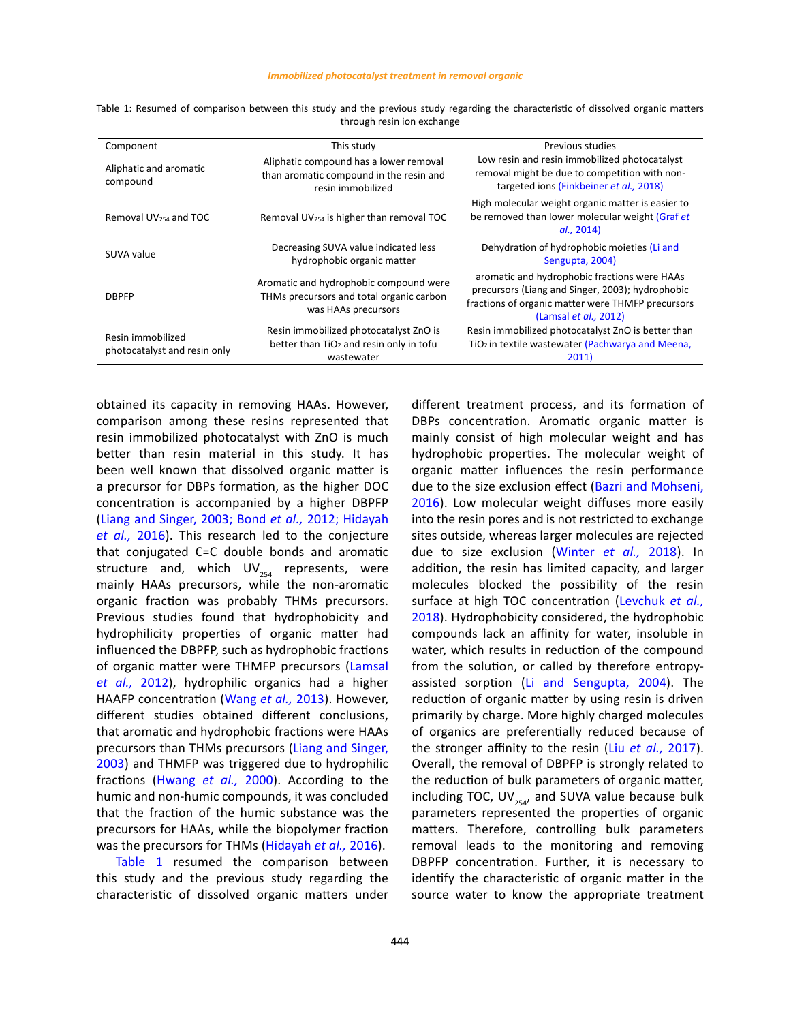|  |  |  |  |  |                            |  | Table 1: Resumed of comparison between this study and the previous study regarding the characteristic of dissolved organic matters |  |  |
|--|--|--|--|--|----------------------------|--|------------------------------------------------------------------------------------------------------------------------------------|--|--|
|  |  |  |  |  | through resin ion exchange |  |                                                                                                                                    |  |  |

| Component                                         | This study                                                                                                  | Previous studies                                                                                                                                                               |
|---------------------------------------------------|-------------------------------------------------------------------------------------------------------------|--------------------------------------------------------------------------------------------------------------------------------------------------------------------------------|
| Aliphatic and aromatic<br>compound                | Aliphatic compound has a lower removal<br>than aromatic compound in the resin and<br>resin immobilized      | Low resin and resin immobilized photocatalyst<br>removal might be due to competition with non-<br>targeted ions (Finkbeiner et al., 2018)                                      |
| Removal UV <sub>254</sub> and TOC                 | Removal UV <sub>254</sub> is higher than removal TOC                                                        | High molecular weight organic matter is easier to<br>be removed than lower molecular weight (Graf et<br>al., 2014)                                                             |
| SUVA value                                        | Decreasing SUVA value indicated less<br>hydrophobic organic matter                                          | Dehydration of hydrophobic moieties (Li and<br>Sengupta, 2004)                                                                                                                 |
| <b>DBPFP</b>                                      | Aromatic and hydrophobic compound were<br>THMs precursors and total organic carbon<br>was HAAs precursors   | aromatic and hydrophobic fractions were HAAs<br>precursors (Liang and Singer, 2003); hydrophobic<br>fractions of organic matter were THMFP precursors<br>(Lamsal et al., 2012) |
| Resin immobilized<br>photocatalyst and resin only | Resin immobilized photocatalyst ZnO is<br>better than TiO <sub>2</sub> and resin only in tofu<br>wastewater | Resin immobilized photocatalyst ZnO is better than<br>TiO <sub>2</sub> in textile wastewater (Pachwarya and Meena,<br>2011)                                                    |

obtained its capacity in removing HAAs. However, comparison among these resins represented that resin immobilized photocatalyst with ZnO is much better than resin material in this study. It has been well known that dissolved organic matter is a precursor for DBPs formation, as the higher DOC concentration is accompanied by a higher DBPFP (Liang and Singer, 2003; Bond *et al.,* 2012; Hidayah *et al.,* 2016). This research led to the conjecture that conjugated C=C double bonds and aromatic structure and, which  $UV_{254}$  represents, were mainly HAAs precursors, while the non-aromatic organic fraction was probably THMs precursors. Previous studies found that hydrophobicity and hydrophilicity properties of organic matter had influenced the DBPFP, such as hydrophobic fractions of organic matter were THMFP precursors (Lamsal *et al.,* 2012), hydrophilic organics had a higher HAAFP concentration (Wang *et al.,* 2013). However, different studies obtained different conclusions, that aromatic and hydrophobic fractions were HAAs precursors than THMs precursors (Liang and Singer, 2003) and THMFP was triggered due to hydrophilic fractions (Hwang *et al.,* 2000). According to the humic and non-humic compounds, it was concluded that the fraction of the humic substance was the precursors for HAAs, while the biopolymer fraction was the precursors for THMs (Hidayah *et al.,* 2016).

Table 1 resumed the comparison between this study and the previous study regarding the characteristic of dissolved organic matters under different treatment process, and its formation of DBPs concentration. Aromatic organic matter is mainly consist of high molecular weight and has hydrophobic properties. The molecular weight of organic matter influences the resin performance due to the size exclusion effect (Bazri and Mohseni, 2016). Low molecular weight diffuses more easily into the resin pores and is not restricted to exchange sites outside, whereas larger molecules are rejected due to size exclusion (Winter *et al.,* 2018). In addition, the resin has limited capacity, and larger molecules blocked the possibility of the resin surface at high TOC concentration (Levchuk *et al.,* 2018). Hydrophobicity considered, the hydrophobic compounds lack an affinity for water, insoluble in water, which results in reduction of the compound from the solution, or called by therefore entropyassisted sorption (Li and Sengupta, 2004). The reduction of organic matter by using resin is driven primarily by charge. More highly charged molecules of organics are preferentially reduced because of the stronger affinity to the resin (Liu *et al.,* 2017). Overall, the removal of DBPFP is strongly related to the reduction of bulk parameters of organic matter, including TOC, UV $_{254}$ , and SUVA value because bulk parameters represented the properties of organic matters. Therefore, controlling bulk parameters removal leads to the monitoring and removing DBPFP concentration. Further, it is necessary to identify the characteristic of organic matter in the source water to know the appropriate treatment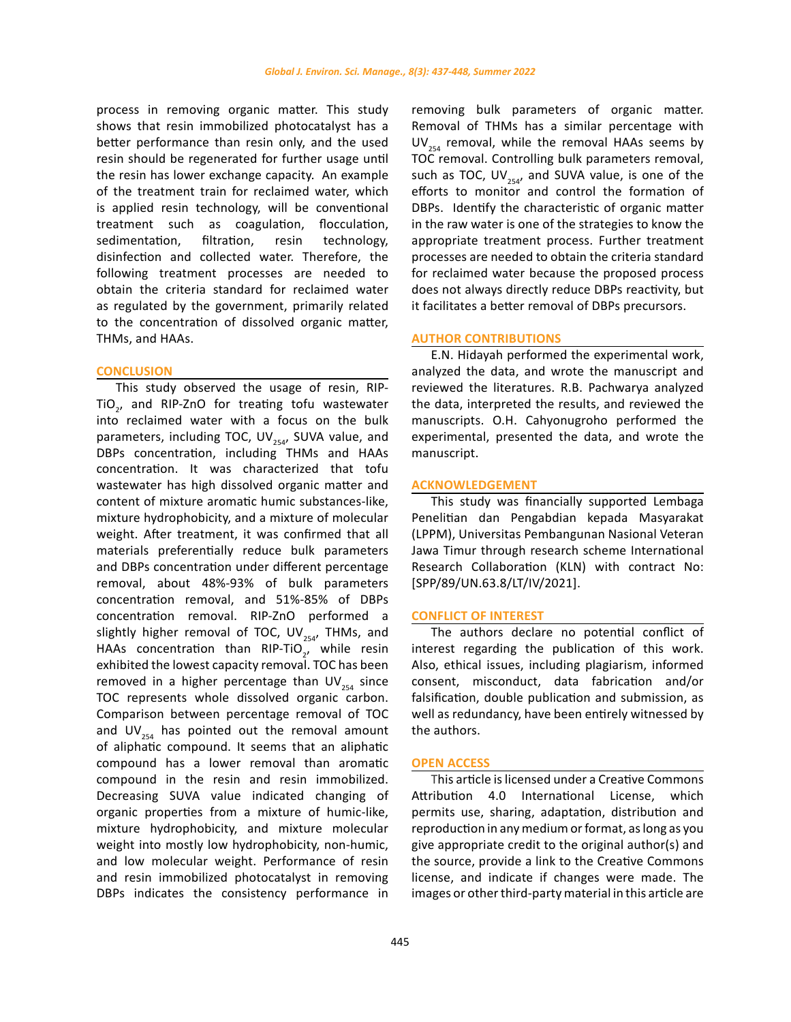process in removing organic matter. This study shows that resin immobilized photocatalyst has a better performance than resin only, and the used resin should be regenerated for further usage until the resin has lower exchange capacity. An example of the treatment train for reclaimed water, which is applied resin technology, will be conventional treatment such as coagulation, flocculation, sedimentation, filtration, resin technology, disinfection and collected water. Therefore, the following treatment processes are needed to obtain the criteria standard for reclaimed water as regulated by the government, primarily related to the concentration of dissolved organic matter, THMs, and HAAs.

#### **CONCLUSION**

This study observed the usage of resin, RIP-TiO<sub>2</sub>, and RIP-ZnO for treating tofu wastewater into reclaimed water with a focus on the bulk parameters, including TOC, UV $_{254}$ , SUVA value, and DBPs concentration, including THMs and HAAs concentration. It was characterized that tofu wastewater has high dissolved organic matter and content of mixture aromatic humic substances-like, mixture hydrophobicity, and a mixture of molecular weight. After treatment, it was confirmed that all materials preferentially reduce bulk parameters and DBPs concentration under different percentage removal, about 48%-93% of bulk parameters concentration removal, and 51%-85% of DBPs concentration removal. RIP-ZnO performed a slightly higher removal of TOC, UV<sub>254</sub>, THMs, and HAAs concentration than RIP-TiO<sub>2</sub>, while resin exhibited the lowest capacity removal. TOC has been removed in a higher percentage than  $UV_{254}$  since TOC represents whole dissolved organic carbon. Comparison between percentage removal of TOC and UV<sub>254</sub> has pointed out the removal amount of aliphatic compound. It seems that an aliphatic compound has a lower removal than aromatic compound in the resin and resin immobilized. Decreasing SUVA value indicated changing of organic properties from a mixture of humic-like, mixture hydrophobicity, and mixture molecular weight into mostly low hydrophobicity, non-humic, and low molecular weight. Performance of resin and resin immobilized photocatalyst in removing DBPs indicates the consistency performance in

removing bulk parameters of organic matter. Removal of THMs has a similar percentage with  $UV_{254}$  removal, while the removal HAAs seems by TOC removal. Controlling bulk parameters removal, such as TOC, UV $_{254}$ , and SUVA value, is one of the efforts to monitor and control the formation of DBPs. Identify the characteristic of organic matter in the raw water is one of the strategies to know the appropriate treatment process. Further treatment processes are needed to obtain the criteria standard for reclaimed water because the proposed process does not always directly reduce DBPs reactivity, but it facilitates a better removal of DBPs precursors.

### **AUTHOR CONTRIBUTIONS**

E.N. Hidayah performed the experimental work, analyzed the data, and wrote the manuscript and reviewed the literatures. R.B. Pachwarya analyzed the data, interpreted the results, and reviewed the manuscripts. O.H. Cahyonugroho performed the experimental, presented the data, and wrote the manuscript.

#### **ACKNOWLEDGEMENT**

This study was financially supported Lembaga Penelitian dan Pengabdian kepada Masyarakat (LPPM), Universitas Pembangunan Nasional Veteran Jawa Timur through research scheme International Research Collaboration (KLN) with contract No: [SPP/89/UN.63.8/LT/IV/2021].

#### **CONFLICT OF INTEREST**

The authors declare no potential conflict of interest regarding the publication of this work. Also, ethical issues, including plagiarism, informed consent, misconduct, data fabrication and/or falsification, double publication and submission, as well as redundancy, have been entirely witnessed by the authors.

#### **OPEN ACCESS**

This article is licensed under a Creative Commons Attribution 4.0 International License, which permits use, sharing, adaptation, distribution and reproduction in any medium or format, as long as you give appropriate credit to the original author(s) and the source, provide a link to the Creative Commons license, and indicate if changes were made. The images or other third-party material in this article are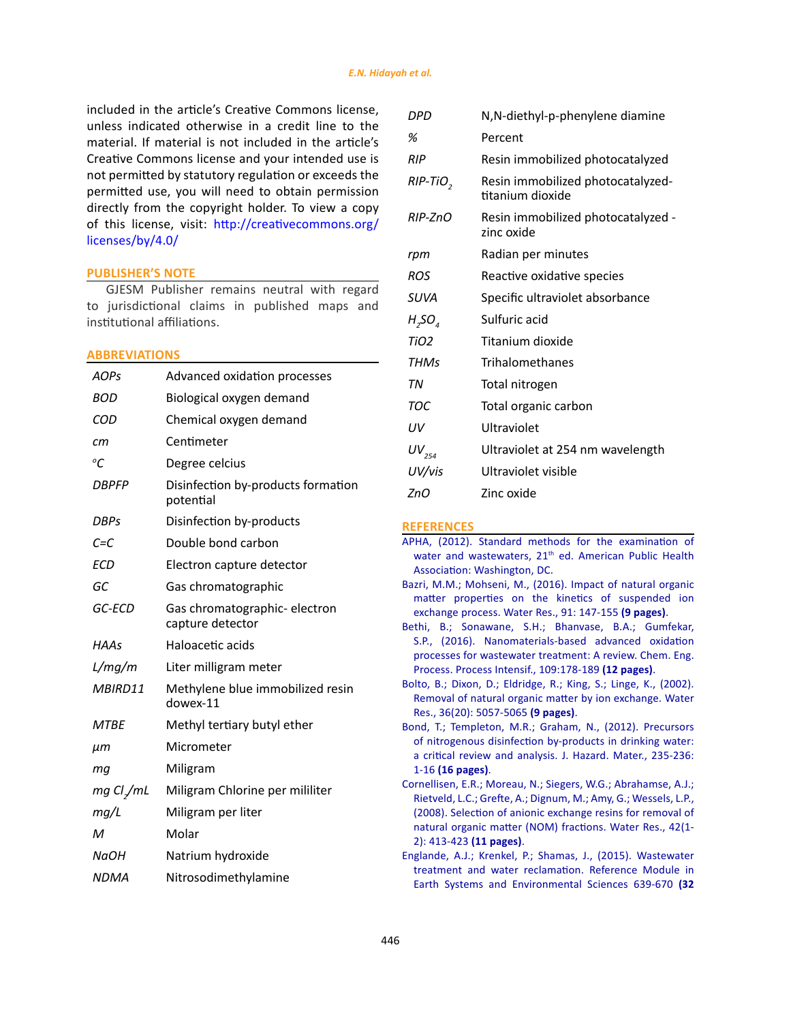included in the article's Creative Commons license, unless indicated otherwise in a credit line to the material. If material is not included in the article's Creative Commons license and your intended use is not permitted by statutory regulation or exceeds the permitted use, you will need to obtain permission directly from the copyright holder. To view a copy of this license, visit: [http://creativecommons.org/](http://creativecommons.org/licenses/by/4.0/) [licenses/by/4.0/](http://creativecommons.org/licenses/by/4.0/)

## **PUBLISHER'S NOTE**

GJESM Publisher remains neutral with regard to jurisdictional claims in published maps and institutional affiliations.

### **ABBREVIATIONS**

| <b>AOPs</b>                  | Advanced oxidation processes                      |
|------------------------------|---------------------------------------------------|
| BOD                          | Biological oxygen demand                          |
| COD                          | Chemical oxygen demand                            |
| cm                           | Centimeter                                        |
| $\mathcal{C}$                | Degree celcius                                    |
| <b>DBPFP</b>                 | Disinfection by-products formation<br>potential   |
| <b>DBPs</b>                  | Disinfection by-products                          |
| $C = C$                      | Double bond carbon                                |
| <b>ECD</b>                   | Electron capture detector                         |
| GC                           | Gas chromatographic                               |
| GC-ECD                       | Gas chromatographic- electron<br>capture detector |
| HAAs                         | Haloacetic acids                                  |
| L/mg/m                       | Liter milligram meter                             |
| MBIRD11                      | Methylene blue immobilized resin<br>dowex-11      |
| <b>MTBE</b>                  | Methyl tertiary butyl ether                       |
| $\mu$ m                      | Micrometer                                        |
| mq                           | Miligram                                          |
| $mg \, Cl$ <sub>/</sub> $mL$ | Miligram Chlorine per mililiter                   |
| mg/L                         | Miligram per liter                                |
| м                            | Molar                                             |
| <b>NaOH</b>                  | Natrium hydroxide                                 |
| <b>NDMA</b>                  | Nitrosodimethylamine                              |

| DPD              | N, N-diethyl-p-phenylene diamine                      |
|------------------|-------------------------------------------------------|
| %                | Percent                                               |
| <b>RIP</b>       | Resin immobilized photocatalyzed                      |
| RIP-TiO,         | Resin immobilized photocatalyzed-<br>titanium dioxide |
| $RIP$ -7n $O$    | Resin immobilized photocatalyzed -<br>zinc oxide      |
| rpm              | Radian per minutes                                    |
| <b>ROS</b>       | Reactive oxidative species                            |
| <b>SUVA</b>      | Specific ultraviolet absorbance                       |
| $H_2SO_a$        | Sulfuric acid                                         |
| TiO <sub>2</sub> | Titanium dioxide                                      |
| <b>THMs</b>      | Trihalomethanes                                       |
| TN               | Total nitrogen                                        |
| TOC              | Total organic carbon                                  |
| UV               | Ultraviolet                                           |
| $UV_{254}$       | Ultraviolet at 254 nm wavelength                      |
| UV/vis           | Ultraviolet visible                                   |
| 7nO              | Zinc oxide                                            |
|                  |                                                       |

### **REFERENCES**

- [APHA, \(2012\). Standard methods for the examination of](http://srjcstaff.santarosa.edu/~oraola/Assets/APHA_SM_20.pdf) water and wastewaters, 21<sup>th</sup> [ed. American Public Health](http://srjcstaff.santarosa.edu/~oraola/Assets/APHA_SM_20.pdf) [Association: Washington, DC.](http://srjcstaff.santarosa.edu/~oraola/Assets/APHA_SM_20.pdf)
- [Bazri, M.M.; Mohseni, M., \(2016\). Impact of natural organic](https://pubmed.ncbi.nlm.nih.gov/26774263/) [matter properties on the kinetics of suspended ion](https://pubmed.ncbi.nlm.nih.gov/26774263/) [exchange process. Water Res., 91: 147-155](https://pubmed.ncbi.nlm.nih.gov/26774263/) **(9 pages)**.
- [Bethi, B.; Sonawane, S.H.; Bhanvase, B.A.; Gumfekar,](https://www.sciencedirect.com/science/article/abs/pii/S0255270116303312) [S.P., \(2016\). Nanomaterials-based advanced oxidation](https://www.sciencedirect.com/science/article/abs/pii/S0255270116303312) [processes for wastewater treatment: A review. Chem. Eng.](https://www.sciencedirect.com/science/article/abs/pii/S0255270116303312) [Process. Process Intensif., 109:178-189](https://www.sciencedirect.com/science/article/abs/pii/S0255270116303312) **(12 pages)**.
- [Bolto, B.; Dixon, D.; Eldridge, R.; King, S.; Linge, K., \(2002\).](https://pubmed.ncbi.nlm.nih.gov/12448554/) [Removal of natural organic matter by ion exchange. Water](https://pubmed.ncbi.nlm.nih.gov/12448554/) [Res., 36\(20\): 5057-5065](https://pubmed.ncbi.nlm.nih.gov/12448554/) **(9 pages)**.
- [Bond, T.; Templeton, M.R.; Graham, N., \(2012\). Precursors](https://www.sciencedirect.com/science/article/abs/pii/S0304389412007248) [of nitrogenous disinfection by-products in drinking water:](https://www.sciencedirect.com/science/article/abs/pii/S0304389412007248) [a critical review and analysis. J. Hazard. Mater., 235-236:](https://www.sciencedirect.com/science/article/abs/pii/S0304389412007248) 1-16 **[\(16 pages\)](https://www.sciencedirect.com/science/article/abs/pii/S0304389412007248)**.
- [Cornellisen, E.R.; Moreau, N.; Siegers, W.G.; Abrahamse, A.J.;](https://www.sciencedirect.com/science/article/abs/pii/S004313540700509X) [Rietveld, L.C.; Grefte, A.; Dignum, M.; Amy, G.; Wessels, L.P.,](https://www.sciencedirect.com/science/article/abs/pii/S004313540700509X) [\(2008\). Selection of anionic exchange resins for removal of](https://www.sciencedirect.com/science/article/abs/pii/S004313540700509X) [natural organic matter \(NOM\) fractions. Water Res., 42\(1-](https://www.sciencedirect.com/science/article/abs/pii/S004313540700509X) [2\): 413-423](https://www.sciencedirect.com/science/article/abs/pii/S004313540700509X) **(11 pages)**.
- [Englande, A.J.; Krenkel, P.; Shamas, J., \(2015\). Wastewater](https://www.ncbi.nlm.nih.gov/pmc/articles/PMC7158167/) [treatment and water reclamation. Reference Module in](https://www.ncbi.nlm.nih.gov/pmc/articles/PMC7158167/) [Earth Systems and Environmental Sciences 639-670](https://www.ncbi.nlm.nih.gov/pmc/articles/PMC7158167/) **(32**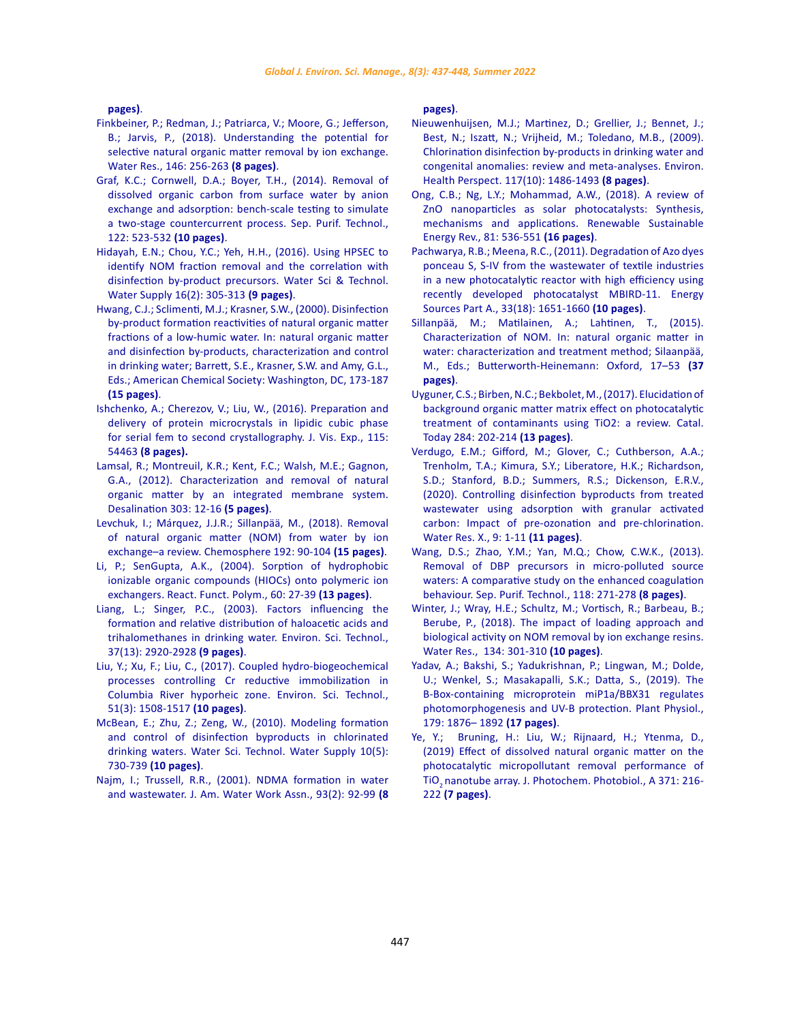**[pages\)](https://www.ncbi.nlm.nih.gov/pmc/articles/PMC7158167/)**.

- [Finkbeiner, P.; Redman, J.; Patriarca, V.; Moore, G.; Jefferson,](https://www.sciencedirect.com/science/article/pii/S0043135418307577)  [B.; Jarvis, P., \(2018\). Understanding the potential for](https://www.sciencedirect.com/science/article/pii/S0043135418307577)  [selective natural organic matter removal by ion exchange.](https://www.sciencedirect.com/science/article/pii/S0043135418307577)  [Water Res., 146: 256-263](https://www.sciencedirect.com/science/article/pii/S0043135418307577) **(8 pages)**.
- [Graf, K.C.; Cornwell, D.A.; Boyer, T.H., \(2014\). Removal of](https://www.sciencedirect.com/science/article/abs/pii/S1383586613007120)  [dissolved organic carbon from surface water by anion](https://www.sciencedirect.com/science/article/abs/pii/S1383586613007120)  [exchange and adsorption: bench-scale testing to simulate](https://www.sciencedirect.com/science/article/abs/pii/S1383586613007120)  [a two-stage countercurrent process. Sep. Purif. Technol.,](https://www.sciencedirect.com/science/article/abs/pii/S1383586613007120)  [122: 523-532](https://www.sciencedirect.com/science/article/abs/pii/S1383586613007120) **(10 pages)**.
- [Hidayah, E.N.; Chou, Y.C.; Yeh, H.H., \(2016\). Using HPSEC to](https://iwaponline.com/ws/article-abstract/16/2/305/3064/Using-HPSEC-to-identify-NOM-fraction-removal-and?redirectedFrom=fulltext)  [identify NOM fraction removal and the correlation with](https://iwaponline.com/ws/article-abstract/16/2/305/3064/Using-HPSEC-to-identify-NOM-fraction-removal-and?redirectedFrom=fulltext)  [disinfection by-product precursors. Water Sci & Technol.](https://iwaponline.com/ws/article-abstract/16/2/305/3064/Using-HPSEC-to-identify-NOM-fraction-removal-and?redirectedFrom=fulltext)  [Water Supply 16\(2\): 305-313](https://iwaponline.com/ws/article-abstract/16/2/305/3064/Using-HPSEC-to-identify-NOM-fraction-removal-and?redirectedFrom=fulltext) **(9 pages)**.
- [Hwang, C.J.; Sclimenti, M.J.; Krasner, S.W., \(2000\). Disinfection](https://pubs.acs.org/doi/pdf/10.1021/bk-2000-0761.ch001)  [by-product formation reactivities of natural organic matter](https://pubs.acs.org/doi/pdf/10.1021/bk-2000-0761.ch001)  [fractions of a low-humic water. In: natural organic matter](https://pubs.acs.org/doi/pdf/10.1021/bk-2000-0761.ch001)  [and disinfection by-products, characterization and control](https://pubs.acs.org/doi/pdf/10.1021/bk-2000-0761.ch001)  [in drinking water; Barrett, S.E., Krasner, S.W. and Amy, G.L.,](https://pubs.acs.org/doi/pdf/10.1021/bk-2000-0761.ch001)  [Eds.; American Chemical Society: Washington, DC, 173-187](https://pubs.acs.org/doi/pdf/10.1021/bk-2000-0761.ch001)  **[\(15 pages\)](https://pubs.acs.org/doi/pdf/10.1021/bk-2000-0761.ch001)**.
- [Ishchenko, A.; Cherezov, V.; Liu, W., \(2016\). Preparation and](https://www.ncbi.nlm.nih.gov/pmc/articles/PMC5092055/)  [delivery of protein microcrystals in lipidic cubic phase](https://www.ncbi.nlm.nih.gov/pmc/articles/PMC5092055/)  [for serial fem to second crystallography. J. Vis. Exp., 115:](https://www.ncbi.nlm.nih.gov/pmc/articles/PMC5092055/)  54463 **[\(8 pages\)](https://www.ncbi.nlm.nih.gov/pmc/articles/PMC5092055/).**
- [Lamsal, R.; Montreuil, K.R.; Kent, F.C.; Walsh, M.E.; Gagnon,](https://www.sciencedirect.com/science/article/abs/pii/S0011916412003487)  [G.A., \(2012\). Characterization and removal of natural](https://www.sciencedirect.com/science/article/abs/pii/S0011916412003487)  [organic matter by an integrated membrane system.](https://www.sciencedirect.com/science/article/abs/pii/S0011916412003487)  [Desalination 303: 12-16](https://www.sciencedirect.com/science/article/abs/pii/S0011916412003487) **(5 pages)**.
- [Levchuk, I.; Márquez, J.J.R.; Sillanpää, M., \(2018\). Removal](https://www.sciencedirect.com/science/article/abs/pii/S0045653517316867)  [of natural organic matter \(NOM\) from water by ion](https://www.sciencedirect.com/science/article/abs/pii/S0045653517316867)  [exchange–a review. Chemosphere 192: 90-104](https://www.sciencedirect.com/science/article/abs/pii/S0045653517316867) **(15 pages)**.
- [Li, P.; SenGupta, A.K., \(2004\). Sorption of hydrophobic](https://www.sciencedirect.com/science/article/abs/pii/S1381514804000641)  [ionizable organic compounds \(HIOCs\) onto polymeric ion](https://www.sciencedirect.com/science/article/abs/pii/S1381514804000641)  [exchangers. React. Funct. Polym., 60: 27-39](https://www.sciencedirect.com/science/article/abs/pii/S1381514804000641) **(13 pages)**.
- [Liang, L.; Singer, P.C., \(2003\). Factors influencing the](https://pubs.rsc.org/es-co/content/articlepdf/2020/ew/c9ew00931k)  [formation and relative distribution of haloacetic acids and](https://pubs.rsc.org/es-co/content/articlepdf/2020/ew/c9ew00931k)  [trihalomethanes in drinking water. Environ. Sci. Technol.,](https://pubs.rsc.org/es-co/content/articlepdf/2020/ew/c9ew00931k)  [37\(13\): 2920-2928](https://pubs.rsc.org/es-co/content/articlepdf/2020/ew/c9ew00931k) **(9 pages)**.
- [Liu, Y.; Xu, F.; Liu, C., \(2017\). Coupled hydro-biogeochemical](https://pubs.acs.org/doi/10.1021/acs.est.6b05099)  [processes controlling Cr reductive immobilization in](https://pubs.acs.org/doi/10.1021/acs.est.6b05099)  [Columbia River hyporheic zone. Environ. Sci. Technol.,](https://pubs.acs.org/doi/10.1021/acs.est.6b05099)  [51\(3\): 1508-1517](https://pubs.acs.org/doi/10.1021/acs.est.6b05099) **(10 pages)**.
- [McBean, E.; Zhu, Z.; Zeng, W., \(2010\). Modeling formation](https://iwaponline.com/ws/article-abstract/10/5/730/25098/Modeling-formation-and-control-of-disinfection?redirectedFrom=fulltext)  [and control of disinfection byproducts in chlorinated](https://iwaponline.com/ws/article-abstract/10/5/730/25098/Modeling-formation-and-control-of-disinfection?redirectedFrom=fulltext)  [drinking waters. Water Sci. Technol. Water Supply 10\(5\):](https://iwaponline.com/ws/article-abstract/10/5/730/25098/Modeling-formation-and-control-of-disinfection?redirectedFrom=fulltext)  730-739 **[\(10 pages\)](https://iwaponline.com/ws/article-abstract/10/5/730/25098/Modeling-formation-and-control-of-disinfection?redirectedFrom=fulltext)**.
- [Najm, I.; Trussell, R.R., \(2001\). NDMA formation in water](https://awwa.onlinelibrary.wiley.com/doi/10.1002/j.1551-8833.2001.tb09129.x)  [and wastewater. J. Am. Water Work Assn., 93\(2\): 92-99](https://awwa.onlinelibrary.wiley.com/doi/10.1002/j.1551-8833.2001.tb09129.x) **(8**

**[pages\)](https://awwa.onlinelibrary.wiley.com/doi/10.1002/j.1551-8833.2001.tb09129.x)**.

- [Nieuwenhuijsen, M.J.; Martinez, D.; Grellier, J.; Bennet, J.;](https://ehp.niehs.nih.gov/doi/10.1289/ehp.0900677) [Best, N.; Iszatt, N.; Vrijheid, M.; Toledano, M.B., \(2009\).](https://ehp.niehs.nih.gov/doi/10.1289/ehp.0900677) [Chlorination disinfection by-products in drinking water and](https://ehp.niehs.nih.gov/doi/10.1289/ehp.0900677) [congenital anomalies: review and meta-analyses. Environ.](https://ehp.niehs.nih.gov/doi/10.1289/ehp.0900677) [Health Perspect. 117\(10\): 1486-1493](https://ehp.niehs.nih.gov/doi/10.1289/ehp.0900677) **(8 pages)**.
- [Ong, C.B.; Ng, L.Y.; Mohammad, A.W., \(2018\). A review of](https://www.sciencedirect.com/science/article/abs/pii/S1364032117311656) [ZnO nanoparticles as solar photocatalysts: Synthesis,](https://www.sciencedirect.com/science/article/abs/pii/S1364032117311656) [mechanisms and applications. Renewable Sustainable](https://www.sciencedirect.com/science/article/abs/pii/S1364032117311656) [Energy Rev., 81: 536-551](https://www.sciencedirect.com/science/article/abs/pii/S1364032117311656) **(16 pages)**.
- [Pachwarya, R.B.; Meena, R.C., \(2011\). Degradation of Azo dyes](https://www.tandfonline.com/doi/abs/10.1080/15567036.2011.577654) [ponceau S, S-IV from the wastewater of textile industries](https://www.tandfonline.com/doi/abs/10.1080/15567036.2011.577654) [in a new photocatalytic reactor with high efficiency using](https://www.tandfonline.com/doi/abs/10.1080/15567036.2011.577654) [recently developed photocatalyst MBIRD-11. Energy](https://www.tandfonline.com/doi/abs/10.1080/15567036.2011.577654) [Sources Part A., 33\(18\): 1651-1660](https://www.tandfonline.com/doi/abs/10.1080/15567036.2011.577654) **(10 pages)**.
- [Sillanpää, M.; Matilainen, A.; Lahtinen, T., \(2015\).](https://www.sciencedirect.com/science/article/pii/B9780128015032000021?via%3Dihub) [Characterization of NOM. In: natural organic matter in](https://www.sciencedirect.com/science/article/pii/B9780128015032000021?via%3Dihub) [water: characterization and treatment method; Silaanpää,](https://www.sciencedirect.com/science/article/pii/B9780128015032000021?via%3Dihub) [M., Eds.; Butterworth-Heinemann: Oxford, 17–53](https://www.sciencedirect.com/science/article/pii/B9780128015032000021?via%3Dihub) **(37 [pages\)](https://www.sciencedirect.com/science/article/pii/B9780128015032000021?via%3Dihub)**.
- [Uyguner, C.S.; Birben, N.C.; Bekbolet, M., \(2017\). Elucidation of](https://www.sciencedirect.com/science/article/abs/pii/S0920586116308495) [background organic matter matrix effect on photocatalytic](https://www.sciencedirect.com/science/article/abs/pii/S0920586116308495) [treatment of contaminants using TiO2: a review. Catal.](https://www.sciencedirect.com/science/article/abs/pii/S0920586116308495) [Today 284: 202-214](https://www.sciencedirect.com/science/article/abs/pii/S0920586116308495) **(13 pages)**.
- [Verdugo, E.M.; Gifford, M.; Glover, C.; Cuthberson, A.A.;](https://www.sciencedirect.com/science/article/pii/S2589914720300281) [Trenholm, T.A.; Kimura, S.Y.; Liberatore, H.K.; Richardson,](https://www.sciencedirect.com/science/article/pii/S2589914720300281) [S.D.; Stanford, B.D.; Summers, R.S.; Dickenson, E.R.V.,](https://www.sciencedirect.com/science/article/pii/S2589914720300281) [\(2020\). Controlling disinfection byproducts from treated](https://www.sciencedirect.com/science/article/pii/S2589914720300281) [wastewater using adsorption with granular activated](https://www.sciencedirect.com/science/article/pii/S2589914720300281) [carbon: Impact of pre-ozonation and pre-chlorination.](https://www.sciencedirect.com/science/article/pii/S2589914720300281) [Water Res. X., 9: 1-11](https://www.sciencedirect.com/science/article/pii/S2589914720300281) **(11 pages)**.
- [Wang, D.S.; Zhao, Y.M.; Yan, M.Q.; Chow, C.W.K., \(2013\).](https://agris.fao.org/agris-search/search.do?recordID=US201500122954) [Removal of DBP precursors in micro-polluted source](https://agris.fao.org/agris-search/search.do?recordID=US201500122954) [waters: A comparative study on the enhanced coagulation](https://agris.fao.org/agris-search/search.do?recordID=US201500122954) [behaviour. Sep. Purif. Technol., 118: 271-278](https://agris.fao.org/agris-search/search.do?recordID=US201500122954) **(8 pages)**.
- [Winter, J.; Wray, H.E.; Schultz, M.; Vortisch, R.; Barbeau, B.;](https://www.sciencedirect.com/science/article/abs/pii/S0043135418300666?via%3Dihub) [Berube, P., \(2018\). The impact of loading approach and](https://www.sciencedirect.com/science/article/abs/pii/S0043135418300666?via%3Dihub) [biological activity on NOM removal by ion exchange resins.](https://www.sciencedirect.com/science/article/abs/pii/S0043135418300666?via%3Dihub) [Water Res., 134: 301-310](https://www.sciencedirect.com/science/article/abs/pii/S0043135418300666?via%3Dihub) **(10 pages)**.
- [Yadav, A.; Bakshi, S.; Yadukrishnan, P.; Lingwan, M.; Dolde,](https://academic.oup.com/plphys/article/179/4/1876/6116822) [U.; Wenkel, S.; Masakapalli, S.K.; Datta, S., \(2019\). The](https://academic.oup.com/plphys/article/179/4/1876/6116822) [B-Box-containing microprotein miP1a/BBX31 regulates](https://academic.oup.com/plphys/article/179/4/1876/6116822) [photomorphogenesis and UV-B protection. Plant Physiol.,](https://academic.oup.com/plphys/article/179/4/1876/6116822) [179: 1876– 1892](https://academic.oup.com/plphys/article/179/4/1876/6116822) **(17 pages)**.
- [Ye, Y.; Bruning, H.: Liu, W.; Rijnaard, H.; Ytenma, D.,](https://www.sciencedirect.com/science/article/pii/S1010603018308852) [\(2019\) Effect of dissolved natural organic matter on the](https://www.sciencedirect.com/science/article/pii/S1010603018308852) [photocatalytic micropollutant removal performance of](https://www.sciencedirect.com/science/article/pii/S1010603018308852) TiO2 [nanotube array. J. Photochem. Photobiol., A 371: 216-](https://www.sciencedirect.com/science/article/pii/S1010603018308852) 222 **[\(7 pages\)](https://www.sciencedirect.com/science/article/pii/S1010603018308852)**.